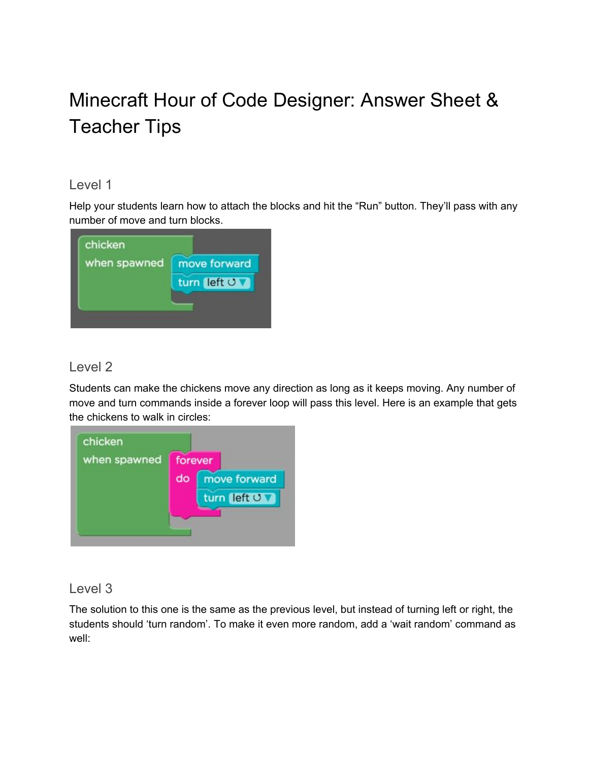# Minecraft Hour of Code Designer: Answer Sheet & Teacher Tips

#### Level 1

Help your students learn how to attach the blocks and hit the "Run" button. They'll pass with any number of move and turn blocks.



# Level 2

Students can make the chickens move any direction as long as it keeps moving. Any number of move and turn commands inside a forever loop will pass this level. Here is an example that gets the chickens to walk in circles:

| when spawned | forever |              |              |
|--------------|---------|--------------|--------------|
|              | do      | move forward |              |
|              |         |              | turn left UV |

## Level 3

The solution to this one is the same as the previous level, but instead of turning left or right, the students should 'turn random'. To make it even more random, add a 'wait random' command as well: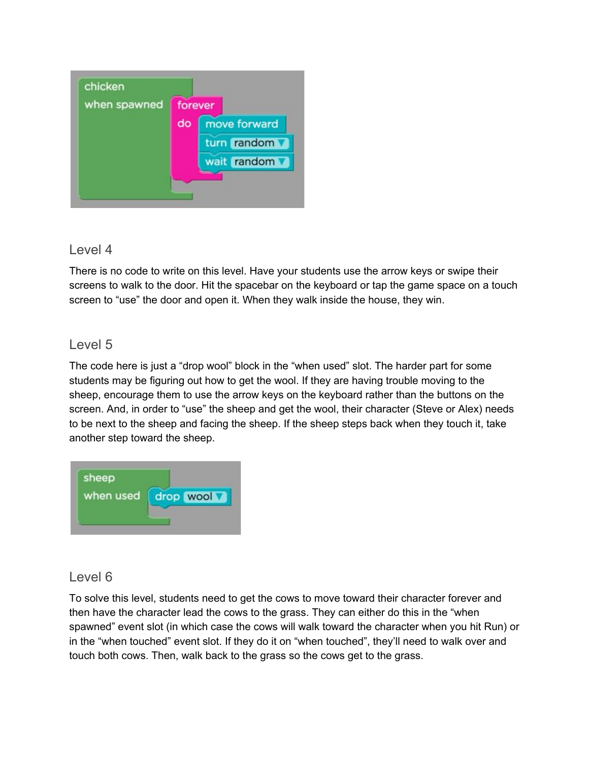

There is no code to write on this level. Have your students use the arrow keys or swipe their screens to walk to the door. Hit the spacebar on the keyboard or tap the game space on a touch screen to "use" the door and open it. When they walk inside the house, they win.

# Level 5

The code here is just a "drop wool" block in the "when used" slot. The harder part for some students may be figuring out how to get the wool. If they are having trouble moving to the sheep, encourage them to use the arrow keys on the keyboard rather than the buttons on the screen. And, in order to "use" the sheep and get the wool, their character (Steve or Alex) needs to be next to the sheep and facing the sheep. If the sheep steps back when they touch it, take another step toward the sheep.



## Level 6

To solve this level, students need to get the cows to move toward their character forever and then have the character lead the cows to the grass. They can either do this in the "when spawned" event slot (in which case the cows will walk toward the character when you hit Run) or in the "when touched" event slot. If they do it on "when touched", they'll need to walk over and touch both cows. Then, walk back to the grass so the cows get to the grass.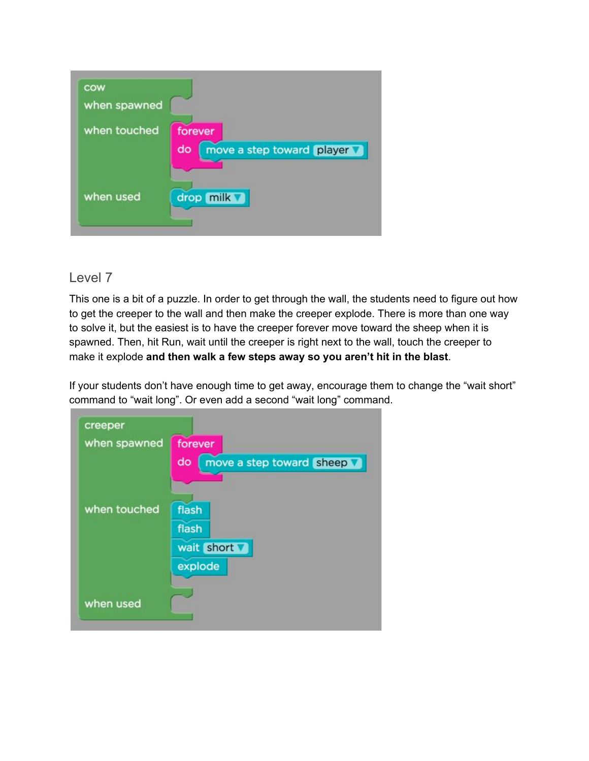

This one is a bit of a puzzle. In order to get through the wall, the students need to figure out how to get the creeper to the wall and then make the creeper explode. There is more than one way to solve it, but the easiest is to have the creeper forever move toward the sheep when it is spawned. Then, hit Run, wait until the creeper is right next to the wall, touch the creeper to make it explode **and then walk a few steps away so you aren't hit in the blast**.

If your students don't have enough time to get away, encourage them to change the "wait short" command to "wait long". Or even add a second "wait long" command.

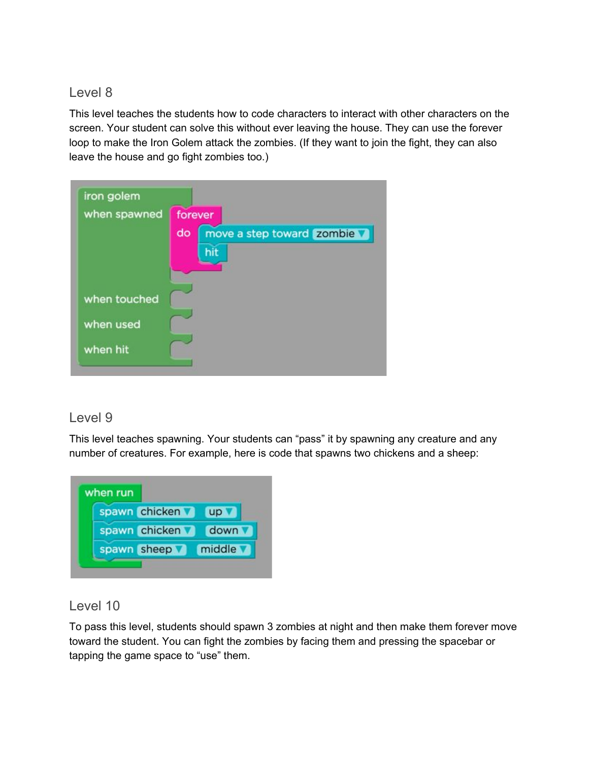This level teaches the students how to code characters to interact with other characters on the screen. Your student can solve this without ever leaving the house. They can use the forever loop to make the Iron Golem attack the zombies. (If they want to join the fight, they can also leave the house and go fight zombies too.)

| when spawned | forever |                           |  |
|--------------|---------|---------------------------|--|
|              | do      | move a step toward zombie |  |
|              |         | hit                       |  |
|              |         |                           |  |
|              |         |                           |  |
| when touched |         |                           |  |
| when used    |         |                           |  |
|              |         |                           |  |
| when hit     |         |                           |  |

#### Level 9

This level teaches spawning. Your students can "pass" it by spawning any creature and any number of creatures. For example, here is code that spawns two chickens and a sheep:



## Level 10

To pass this level, students should spawn 3 zombies at night and then make them forever move toward the student. You can fight the zombies by facing them and pressing the spacebar or tapping the game space to "use" them.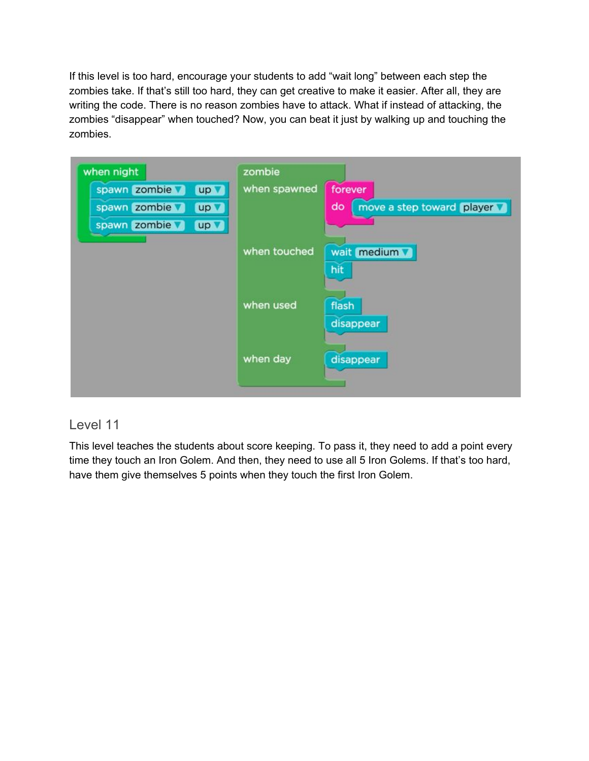If this level is too hard, encourage your students to add "wait long" between each step the zombies take. If that's still too hard, they can get creative to make it easier. After all, they are writing the code. There is no reason zombies have to attack. What if instead of attacking, the zombies "disappear" when touched? Now, you can beat it just by walking up and touching the zombies.

| when night           | zombie       |                                 |
|----------------------|--------------|---------------------------------|
| spawn zombie<br>up v | when spawned | forever                         |
| spawn zombie<br>up V |              | do<br>move a step toward player |
| spawn zombie<br>up v |              |                                 |
|                      | when touched | wait medium                     |
|                      |              | hit                             |
|                      | when used    | flash<br>disappear              |
|                      | when day     | disappear                       |

#### Level 11

This level teaches the students about score keeping. To pass it, they need to add a point every time they touch an Iron Golem. And then, they need to use all 5 Iron Golems. If that's too hard, have them give themselves 5 points when they touch the first Iron Golem.